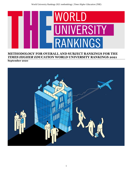

# **METHODOLOGY FOR OVERALL AND SUBJECT RANKINGS FOR THE**  *TIMES HIGHER EDUCATION* **WORLD UNIVERSITY RANKINGS 2021**

**September 2020**

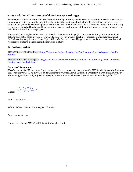# *Times Higher Education* **World University Rankings:**

*Times Higher Education* is the data provider underpinning university excellence in every continent across the world. As the company behind the world's most influential university ranking, and with almost five decades of experience as a source of analysis and insight on higher education, we have unparalleled expertise on the trends underpinning university performance globally. Our data and benchmarking tools are used by many of the world's most prestigious universities to help them achieve their strategic goals.

The annual *Times Higher Education (THE)* World University Rankings (WUR), started in 2010, aims to provide the definitive list of the best universities, evaluated across five key areas of Teaching, Research, Citations, International Outlook and Industry Income. *Times Higher Education*'s data is trusted by governments and universities and is a vital resource for students, helping them choose where to study.

# **Important links:**

THE WUR 2021 Final Rankings: [https://www.timeshighereducation.com/world-university-rankings/2021/world](https://www.timeshighereducation.com/world-university-rankings/2021/world-ranking)[ranking](https://www.timeshighereducation.com/world-university-rankings/2021/world-ranking)

THE WUR 2021 Methodology[: https://www.timeshighereducation.com/world-university-rankings/world-university](https://www.timeshighereducation.com/world-university-rankings/world-university-rankings-2021-methodology)[rankings-2021-methodology](https://www.timeshighereducation.com/world-university-rankings/world-university-rankings-2021-methodology)

# **Directors' Statement:**

*This document (the "Methodology") sets out our end-to-end process for generating the THE World University Rankings 2021 (the "Rankings"). As directors and management of Times Higher Education, we state that we have followed our Methodology and correctly applied the specific procedures denoted by (i) - (xii) and marked with the symbol "Ω".*

Print: Duncan Ross

Signed:

Role: Chief Data Officer, Times Higher Education

Date: 15 August 2020

For and on behalf of *THE* World Universities Insights Limited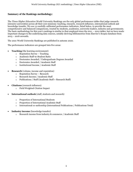# **Summary of the Rankings methodology:**

The *Times Higher Education* World University Rankings are the only global performance tables that judge researchintensive universities across all their core missions: teaching, research, research influence, international outlook and knowledge transfer. We use 13 carefully calibrated performance indicators, listed below, to provide the most comprehensive and balanced comparisons, trusted by students, academics, university leaders, industry and governments. The basic methodology for this year's rankings is similar to that employed since the  $2011 - 2012$  tables, but we have made important changes to the underlying data sources, notably deriving bibliometrics from Elsevier's Scopus database from 2015 – 2016 onwards.

The 2021 World University Rankings are published in autumn 2020.

The performance indicators are grouped into five areas:

- **Teaching** (the learning environment)
	- o Reputation Survey Teaching
	- o Academic Staff-to-Student Ratio
	- o Doctorates Awarded / Undergraduate Degrees Awarded
	- o Doctorates Awarded / Academic Staff
	- o Institutional Income / Academic Staff
- **Research** (volume, income and reputation)
	- o Reputation Survey Research
	- o Research Income / Academic Staff
	- o Publications / Staff (Academic Staff + Research Staff)
- **Citations** (research influence)
	- o Field Weighted Citation Impact
- **International outlook** (staff, students and research)
	- o Proportion of International Students
	- o Proportion of International Academic Staff
	- o International co-authorship (International Publications / Publications Total)
- **Industry income** (knowledge transfer)
	- o Research income from industry & commerce / Academic Staff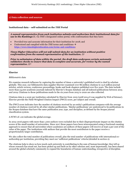# **1) Data collection and sources**

# **Institutional data – self-submitted on the** *THE* **Portal**

*A named representative from each institution submits and authorises their institutional data for*  **use in the Rankings** Ω<sup>i</sup>, via *THE*'s designated online portal, with confirmations that they have:

- Provided true and accurate information for their institution for 2018; and
- Understood and complied with the *THE* terms and conditions → [https://www.timeshighereducation.com/terms-and-conditions;](https://www.timeshighereducation.com/terms-and-conditions)

*Times Higher Education will not self-submit data for an institution without positive confirmation from the named representative of the institution.* Ωii

*Prior to submission of data within the portal, the draft data undergoes certain automatic validation checks to ensure that data is complete and accurate, for review by the named representative.* Ωiii

#### **Elsevier**

#### *Bibliometric data*

We examine research influence by capturing the number of times a university's published work is cited by scholars globally. This year, our bibliometric data supplier Elsevier examined over 86 million citations to 13.6 million journal articles, article reviews, conference proceedings, books and book chapters published over five years. The data include more than 24,000 academic journals indexed by Elsevier's Scopus database and all indexed publications between 2015 and 2019. Citations to these publications made in the six years from 2015 to 2020 are also collected.

Citations data is a score per institution calculated by Elsevier from 2015 (until 2014 it was supplied by Web of Science). Elsevier provide the Field-Weighted Citation Impact (FWCI) score, per subject and overall.

The FWCI score indicates how the number of citations received by an entity's publications compares with the average number of citations received by all other similar publications. 'Similar publications' are understood to be publications in the Scopus database that have the same publication year, type, and discipline, as defined by the Scopus journal classification system.

A FCWI of 1.00 indicates the global average.

In 2015-2016 papers with more than 1,000 authors were excluded due to their disproportionate impact on the citation scores of the small number of universities. Since 2017 these papers have been reincorporated using a fractional counting approach to ensure that all universities where academics are authors of these papers will receive at least 5 per cent of the value of the paper. The institutions with authors that provide the most contributors to the paper receive a proportionately larger contribution.

We also collect the total number of publications overall, plus the total number of publications with international coauthorship per institution, providing they meet our 'sufficient publications' criteria (detailed in section 2).

The citations help to show us how much each university is contributing to the sum of human knowledge: they tell us whose research has stood out, has been picked up and built on by other scholars and, most importantly, has been shared around the global scholarly community to expand the boundaries of human understanding, irrespective of discipline.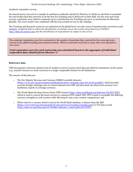### *Academic reputation survey*

An annual survey was sent to a sample of academics randomly selected by Elsevier, in which we ask them to nominate the universities that they perceive to be the best for Teaching and/or Research in their field. For the 2019 and 2020 surveys, academics were asked to nominate up to 15 institutions for Teaching and up to 15 institutions for Research globally. The 2020 results were combined with the 2019 results for use in the rankings.

The Teaching and Research scores for an institution at the global level were the count of mentions they received in each category, weighted both to reflect the distribution of scholars across the world (using data from UNESCO [http://data.uis.unesco.org\)](http://data.uis.unesco.org/) and the distribution of respondents by subject in the survey.

The academic reputation score for a university is the number of mentions they received for the 2019 and 2020 surveys in the global teaching and research sections. Where a university received no votes, they were allocated a zero score.

*Total reputation score for each university was calculated based on the aggregate of individual respondent data obtained from Elsevier.* Ωiv

# **Reference data**

*THE* incorporates reference datasets into its model to convert country-level data provided by institutions via the portal (e.g. research income in a local currency) to a single comparable dataset for all institutions.

The sources of this data are:

- o The Her Majesty Revenue and Customs (HMRC) monthly datasets: [\[https://www.gov.uk/government/publications/hmrc-exchange-rates-for-2018-monthly\]](https://www.gov.uk/government/publications/hmrc-exchange-rates-for-2018-monthly), which provides accurate foreign exchange rates to convert datasets into GBP and then back into their local currency if an institution reports in a foreign currency;
- o The World Bank Purchase Power Parity (PPP) dataset [\[http://data.worldbank.org/indicator/PA.NUS.PPP\]](http://data.worldbank.org/indicator/PA.NUS.PPP), which is used to convert the local currency to common-PPP-scaled USD. PPP is used to exemplify the differing currency strengths in each country while allowing for easy cross-country comparisons; and
- o Where data for a country doesn't exist in the World Bank database, a dataset from the IMF [https://www.imf.org/external/pubs/ft/weo/2020/01/weodata/weoselgr.aspx] or UN data is used [\[http://data.un.org/Data.aspx?d=WDI&f=Indicator\\_Code%3APA.NUS.PPP\]](http://data.un.org/Data.aspx?d=WDI&f=Indicator_Code%3APA.NUS.PPP).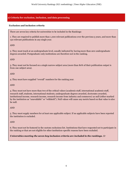# **2) Criteria for exclusion, inclusion, and data processing**

# **Exclusion and inclusion criteria**

There are seven key criteria for universities to be included in the Rankings:

1. They are required to publish more than 1,000 relevant publications over the previous 5 years, and more than 150 relevant publications in any single year.

AND

2. They must teach at an undergraduate level, usually indicated by having more than zero undergraduate degrees awarded. Postgraduate-only institutions are therefore not in the ranking.

AND

3. They must not be focused on a single narrow subject area (more than 80% of their publication output is from one subject area).

AND

4. They must have supplied "overall" numbers for the ranking year.

AND

4. They must not have more than two of the critical values (academic staff, international academic staff, research staff, students, international students, undergraduate degrees awarded, doctorates awarded, institutional income, research income, research income from industry and commerce) as null (either marked by the institution as "unavailable" or "withheld"). Null values will cause any metric based on that value to also be null.

AND

5. They must supply numbers for at least one applicable subject. If no applicable subjects have been reported the institution is excluded.

AND

6. They must not be featured in the custom exclusions list. Institutions that have requested not to participate in the ranking or that are not eligible for other institution-specific reasons have been excluded.

*Universities meeting the seven key inclusion criteria are included in the rankings.* Ω<sup>v</sup>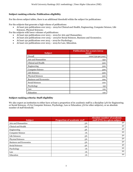# **Subject ranking criteria: Publication eligibility**

For the eleven subject tables, there is an additional threshold within the subject for publications:

For the subjects that generate a high volume of publications:

• At least 500 publications over 2015 – 2019 for Clinical and Health, Engineering, Computer Science, Life Sciences, Physical Sciences;

For the subjects with lower volumes of publications:

- At least 250 publications over 2015 2019 for Arts and Humanities;
- At least 200 publications over 2015 2019 for Social Sciences, Business and Economics;
- At least 150 publications over 2015 2019 for Psychology;
- At least 100 publications over 2015 2019 for Law, Education.

| <b>Subject</b>                | Publications for 5 years (2015-<br>2019) |
|-------------------------------|------------------------------------------|
| Overall                       | 1000 (150 per year)                      |
| Arts and Humanities           | 250                                      |
| Clinical and Health           | 500                                      |
| Engineering                   | 500                                      |
| <b>Computer Science</b>       | 500                                      |
| Life Sciences                 | 500                                      |
| <b>Physical Sciences</b>      | 500                                      |
| <b>Business and Economics</b> | 200                                      |
| Social Sciences               | 200                                      |
| Psychology                    | 150                                      |
| Law                           | 100                                      |
| Education                     | 100                                      |

# **Subject ranking criteria: Staff eligibility**

We also expect an institution to either have at least a proportion of its academic staff in a discipline (4% for Engineering or Social Sciences, 1% for Computer Science, Psychology, Law or Education; 5% for other subjects), or an absolute number of staff threshold.

| <b>Subject</b>                | <b>Proportion of academic staff</b> | Absolute number of academic<br>staff (FTE) in a given subject |
|-------------------------------|-------------------------------------|---------------------------------------------------------------|
| Arts and Humanities           | 5%                                  | 50                                                            |
| Clinical and Health           | 5%                                  | 50                                                            |
| Engineering                   | 4%                                  | 40                                                            |
| Computer Science              | 1%                                  | 20                                                            |
| Life Sciences                 | 5%                                  | 50                                                            |
| <b>Physical Sciences</b>      | 5%                                  | 50                                                            |
| <b>Business and Economics</b> | 5%                                  | 50                                                            |
| Social Sciences               | 4%                                  | 40                                                            |
| Psychology                    | 1%                                  | 20                                                            |
| Law                           | 1%                                  | 20                                                            |
| Education                     | 1%                                  | 20                                                            |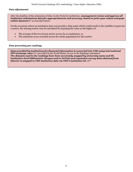## **Data adjustments**

After the deadline of the submission of data via the Portal by institutions, *management review and approve all institution submissions data for appropriateness and accuracy, based on prior year values and gaps within datasets*Ωvi as described below.

On the occasions where an institution does not provide a data point which would result in the inability to generate a metric, the missing metric may be calculated by imputing the value as the higher of:

- The average of the two lowest metric scores for an institution; or
- The minimum score awarded across the whole population for that metric.

#### **Data processing pre-rankings**

*Data provided by institutions for financial information is converted into USD using international PPP exchange rates*  $Ω<sup>vi</sup>$  (provided by the World Bank), for use in the Rankings calculation *The datasets used in the rankings have been accurately mapped by university name and ID. Institution-level bibliometric (Scopus and/or SciVal) and reputation survey data obtained from Elsevier is mapped to THE institution data via THE's institution ID.* Ωviii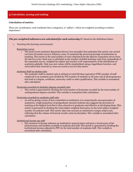## **3) Calculation, scoring and ranking**

### **Calculation of metrics**

There are 13 indicators, each combined into 5 categories, or "pillars", which are weighted according to relative importance.

#### *The pre-weighted indicators are calculated for each university* $\Omega^{\alpha}$  **based on the definitions below:**

*1. Teaching (the learning environment)*

#### Reputation survey

o The most recent Academic Reputation Survey (run annually) that underpins this metric was carried out from November 2019 to February 2020. It examined the perceived prestige of institutions in teaching. This metric is the total number of votes obtained from the Elsevier reputation survey from the last two years. Each year is calculated as the number of global teaching votes from respondents of the reputation survey, weighted by subject and country to be representative of the distribution of academics globally. Only non-zero values will be standardised using a logarithmic function, and universities that received no votes are scored a zero for this metric.

Academic Staff-to-student ratio

 $\circ$  The academic staff-to-student ratio is defined as total full time equivalent (FTE) number of staff employed in an academic post divided by FTE number of students in all years and of all programmes that lead to a degree, certificate, university credit or other qualification. This variable is normalised after calculation.

Doctorates-awarded-to-bachelor-degrees-awarded ratio

 $\circ$  This metric is generated by dividing the total number of doctorates awarded by the total number of undergraduate degrees awarded. This variable is normalised after calculation.

Doctorates-awarded-to-academic-staff ratio

 $\circ$  As well as giving a sense of how committed an institution is to nurturing the next generation of academics, a high proportion of postgraduate research students also suggests the provision of teaching at the highest level that is thus attractive to graduates and effective at developing them. This metric is generated by dividing the total subject weighted doctorates, by the total subject weighted number of academic staff. This metric takes into account an institution's unique subject mix, reflecting that the volume of doctoral awards varies by discipline. This variable is normalised after calculation.

Institutional income per staff

o This measure of income indicates an institution's general status and gives a broad sense of the infrastructure and facilities available to students and staff. This metric is generated by dividing the institutional income adjusted to PPP, by the total number of academic staff. This variable is normalised after calculation.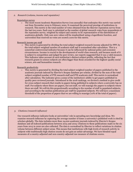*2. Research (volume, income and reputation)*

#### Reputation survey

o The most recent Academic Reputation Survey (run annually) that underpins this metric was carried out from November 2019 to February 2020. It examined the perceived prestige of institutions in research. This metric is the total number of votes obtained from the Elsevier reputation survey from the last two years. Each year is calculated as the number of global research votes from respondents of the reputation survey, weighted by subject and country to be representative of the distribution of academics globally. Only non-zero values will be standardised using a logarithmic function, and universities that received no votes are scored a zero for this metric.

#### Research income per staff

 $\circ$  This metric is generated by dividing the total subject weighted research income adjusted for PPP, by the total subject weighted number of academic staff and is normalised after calculation. This is a somewhat controversial indicator because it can be influenced by national policy and economic circumstances. Income is crucial to the development of world-class research, and because much of it is subject to competition and judged by peer review, our experts suggested that it was a valid measure. This indicator takes account of each institution's distinct subject profile, reflecting the fact that research grants in science subjects are often bigger than those awarded for the highest-quality social science, arts and humanities research.

#### Research productivity

 $\circ$  This metric is generated by dividing the total subject weighted number of papers published in the academic journals indexed by Elsevier's Scopus database per scholar, divided by the sum of the total subject weighted number of FTE research staff and FTE academic staff. This metric is normalised after calculation. The indicator gives a sense of the institution's ability to get papers published in quality peer-reviewed journals. Introduced in the 2018 rankings, we devised a method to give credit for cross-subject research that results in papers being published in subjects where a university has no staff. For subjects where there are papers, but not staff, we will reassign the papers to subjects where there are staff. We will do this proportionally according to the number of staff in populated subjects, and according to the median publications per staff for populated subjects. We will have a maximum threshold of the proportion of papers that we are willing to reassign (10% of the total of papers).

## *3. Citations (research influence)*

Our research influence indicator looks at universities' role in spreading new knowledge and ideas. We examine research influence by capturing the average number of times a university's published work is cited by scholars globally. The data includes more than 24,000 academic journals indexed by Elsevier's Scopus database and all indexed publications between 2015 and 2019. Citations to these publications made in the six years from 2015 to 2020 are also collected. The data is normalised by Elsevier to reflect variations in citation volume between different subject areas. This means that institutions with high levels of research activity in subjects with traditionally high citation counts do not gain an unfair advantage. We have blended equal measures of a country-adjusted and non-country-adjusted raw measure of citations scores.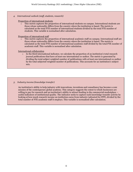*4. International outlook (staff, students, research)*

Proportion of international students

 $\circ$  This metric captures the proportion of international students on campus. International students are those whose nationality differs from the country where the institution is based. The metric is calculated as the total FTE number of international students divided by the total FTE number of students. This variable is normalised after calculation.

Proportion of international staff

 $\circ$  This metric captures the proportion of international academic staff on campus. International staff are those whose nationality differs from the country where the institution is based. The metric is calculated as the total FTE number of international academic staff divided by the total FTE number of academic staff. This variable is normalised after calculation.

## International collaboration

 $\circ$  In the third international indicator, we calculate the proportion of an institution's total research journal publications that have at least one international co-author. The metric is generated by dividing the total subject weighted number of publications with at least one international co-author by the total subjected weighted number of publications. This accounts for an institution's subject mix.

## *5. Industry income (knowledge transfer)*

An institution's ability to help industry with innovations, inventions and consultancy has become a core mission of the contemporary global academy. This category suggests the extent to which businesses are willing to pay for research and an institution's ability to attract funding in the commercial marketplace – useful indicators of institutional quality. The indicator seeks to capture such knowledge-transfer activity by looking at how much research income an institution earns from industry (adjusted for PPP), divided by the total number of FTE academic staff it employs. This variable is normalised after calculation.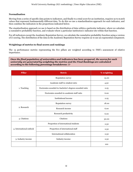## **Normalisation**

Moving from a series of specific data points to indicators, and finally to a total score for an institution, requires us to match values that represent fundamentally different data. To do this we use a standardisation approach for each indicator, and then combine the indicators in the proportions indicated below.

The standardisation approach we use is based on the distribution of data within a particular indicator, where we calculate a cumulative probability function, and evaluate where a particular institution's indicator sits within that function.

For all indicators except the Academic Reputation Survey, we calculate the cumulative probability function using a version of Z-scoring. The distribution of the data in the Academic Reputation Survey requires us to use an exponential component.

## **Weightings of metrics to final scores and rankings**

The 13 performance metrics representing the five pillars are weighted according to *THE*'s assessment of relative importance.

*Once the final population of universities and indicators has been prepared, the scores for each university are generated by weighting the metrics and the Final Rankings are calculated* **according to the following percentage breakdowns**: Ω<sup>x</sup>

| <b>Pillar</b>            | <b>Metric</b>                                          | % weighting |  |  |
|--------------------------|--------------------------------------------------------|-------------|--|--|
|                          | Reputation survey                                      | 15.00       |  |  |
|                          | Academic staff-to-student ratio                        | 4.50        |  |  |
| 1. Teaching              | Doctorates awarded-to-bachelor's degrees awarded ratio | 2.25        |  |  |
|                          | Doctorates awarded-to-academic staff ratio             | 6.00        |  |  |
|                          | Institutional income                                   | 2.25        |  |  |
|                          | Reputation survey                                      | 18.00       |  |  |
| 2. Research              | Research income                                        | 6.00        |  |  |
|                          | Research productivity                                  | 6.00        |  |  |
| 3. Citations             | Citations                                              | 30.00       |  |  |
|                          | Proportion of international students                   | 2.50        |  |  |
| 4. International outlook | Proportion of international staff                      | 2.50        |  |  |
|                          | International collaboration                            | 2.50        |  |  |
| 5. Industry income       | Industry income                                        | 2.50        |  |  |
|                          |                                                        | 100         |  |  |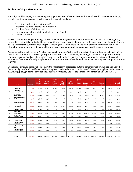# **Subject ranking differentiation**

The subject tables employ the same range of 13 performance indicators used in the overall World University Rankings, brought together with scores provided under the same five pillars:

- Teaching (the learning environment);
- Research (volume, income and reputation);
- Citations (research influence);
- International outlook (staff, students, research); and
- Industry Income.

However, within the subject rankings, the overall methodology is carefully recalibrated by subject, with the weightings changed to best suit the individual fields. In particular, those given to the research indicators have been altered to fit more closely the research culture in each subject, reflecting different publication habits: in arts and humanities, for instance, where the range of outputs extends well beyond peer-reviewed journals, we give less weight to paper citations.

Accordingly, the weight given to "citations: research influence" is halved from 30% in the overall rankings to just 15% for the arts and humanities. More weight is given to other research indicators, including the Academic Reputation Survey. For social sciences and law, where there is also less faith in the strength of citations alone as an indicator of research excellence, the measure's weighting is reduced to 25%. It is also reduced for education, engineering and computer sciences to 27.5%.

By the same token, in those subjects where the vast majority of research outputs come through journal articles and where there are high levels of confidence in the strength of citations data, we have increased the weighting given to the research influence (up to 35% for the physical, life sciences, psychology and for the clinical, pre-clinical and health tables).

|                | Indicator                               | Overall | <b>Arts</b><br>and<br>Human<br>ities | Social<br>Science<br>S | <b>Busines</b><br>s and<br>Econo<br>mics | Clinical<br>and<br>Health | Life<br>Science<br>S | Physica<br>Science<br>S | Engine<br>ering | Comput<br>er<br>Science | Psychol<br>ogy | Law     | Educati<br>on |
|----------------|-----------------------------------------|---------|--------------------------------------|------------------------|------------------------------------------|---------------------------|----------------------|-------------------------|-----------------|-------------------------|----------------|---------|---------------|
| C <sub>1</sub> | <b>Citations</b>                        | 30.00%  | 15.00%                               | 25.00%                 | 25.00%                                   | 35.00%                    | 35.00%               | 35.00%                  | 27.50%          | 27.50%                  | 35.00%         | 25.00%  | 27.50%        |
| E1             | Industry<br>Income/Staff                | 2.50%   | 2.50%                                | 2.50%                  | 2.50%                                    | 2.50%                     | 2.50%                | 2.50%                   | 5.00%           | 5.00%                   | 2.50%          | 2.50%   | 2.50%         |
| T <sub>1</sub> | <b>Teaching</b><br><b>Reputation</b>    | 15.00%  | 25.30%                               | 21.10%                 | 21.10%                                   | 17.90%                    | 17.90%               | 17.90%                  | 19.50%          | 19.50%                  | 17.90%         | 21.00%  | 20.00%        |
| T <sub>2</sub> | <b>Students to Staff</b><br>Ratio       | 4.50%   | 3.80%                                | 3.30%                  | 3.30%                                    | 2.80%                     | 2.80%                | 2.80%                   | 3.00%           | 3.00%                   | 2.80%          | 4.50%   | 4.50%         |
| T3             | <b>PhD/Bachelors</b>                    | 2.25%   | 1.80%                                | 1.60%                  | 0.00%                                    | 1.40%                     | 1.40%                | 1.40%                   | 1.50%           | 1.50%                   | 1.40%          | 0.00%   | 0.00%         |
| T <sub>4</sub> | PhD/Staff                               | 6.00%   | 4.60%                                | 4.80%                  | 4.90%                                    | 4.00%                     | 4.00%                | 4.00%                   | 4.50%           | 4.50%                   | 4.00%          | 4.90%   | 6.00%         |
| T <sub>5</sub> | Income/Staff                            | 2.25%   | 1.90%                                | 1.60%                  | 1.60%                                    | 1.40%                     | 1.40%                | 1.40%                   | 1.50%           | 1.50%                   | 1.40%          | 2.30%   | 2.20%         |
| R1             | Research<br>Reputation                  | 18.00%  | 30.00%                               | 22.80%                 | 22.80%                                   | 19.30%                    | 19.30%               | 19.30%                  | 21.00%          | 21.00%                  | 19.30%         | 21.00%  | 20.00%        |
| R <sub>2</sub> | Research<br>Income/Staff                | 6.00%   | 3.80%                                | 4.90%                  | 4.90%                                    | 4.10%                     | 4.10%                | 4.10%                   | 4.50%           | 4.50%                   | 4.10%          | 4.90%   | 4.90%         |
| R3             | Papers/Staff                            | 6.00%   | 3.80%                                | 4.90%                  | 4.90%                                    | 4.10%                     | 4.10%                | 4.10%                   | 4.50%           | 4.50%                   | 4.10%          | 4.90%   | 4.90%         |
| I <sub>1</sub> | <b>International</b><br><b>Students</b> | 2.50%   | 2.50%                                | 2.50%                  | 3.00%                                    | 2.50%                     | 2.50%                | 2.50%                   | 2.50%           | 2.50%                   | 2.50%          | 3.00%   | 2.50%         |
| I <sub>2</sub> | <b>International</b><br><b>Staff</b>    | 2.50%   | 2.50%                                | 2.50%                  | 3.00%                                    | 2.50%                     | 2.50%                | 2.50%                   | 2.50%           | 2.50%                   | 2.50%          | 3.00%   | 2.50%         |
| I3             | <b>International</b><br>collaboration   | 2.50%   | 2.50%                                | 2.50%                  | 3.00%                                    | 2.50%                     | 2.50%                | 2.50%                   | 2.50%           | 2.50%                   | 2.50%          | 3.00%   | 2.50%         |
|                |                                         |         |                                      |                        |                                          |                           |                      |                         |                 |                         |                |         |               |
|                | <b>Total</b>                            | 100.00% | 100.00%                              | 100.00%                | 100.00%                                  | 100.00%                   | 100.00%              | 100.00%                 | 100.00%         | 100.00%                 | 100.00%        | 100.00% | 100.00%       |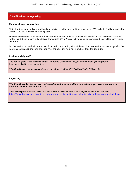# **4) Publication and reporting**

#### **Final rankings preparation**

All institutions were ranked overall and are published in the final rankings table on the *THE* website. On the website, the overall score and pillar scores are displayed.

Precise overall scores are shown for the institutions ranked in the top 200 overall. Banded overall scores are presented for the institutions ranked in bands (e.g. from 201 to 205). Precise individual pillar scores are displayed for each ranked institution.

For the institutions ranked 1 – 200 overall, an individual rank position is listed. The next institutions are assigned to the following bands: 201-250, 251-300, 301-350, 351-400, 401-500, 501-600, 601-800, 801-1000, 1001+.

#### **Review and sign off**

The Rankings are formally signed off by *THE* World Universities Insights Limited management prior to being published in print and online.

*The Rankings results are reviewed and signed off by THE's Chief Data Officer.* Ωxi

#### **Reporting**

*The Rankings for the top 200 universities and banding allocation below top 200 are accurately reported on the THE website.* Ωxii

The specific procedures for the Overall Rankings are located on the *Times Higher Education* website at: [https://www.timeshighereducation.com/world-university-rankings/world-university-rankings-2021-methodology.](https://www.timeshighereducation.com/world-university-rankings/world-university-rankings-2021-methodology)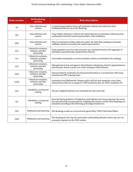| <b>Rule number</b> | Methodology<br>section                                      | <b>Rule description</b>                                                                                                                                                                                                                         |
|--------------------|-------------------------------------------------------------|-------------------------------------------------------------------------------------------------------------------------------------------------------------------------------------------------------------------------------------------------|
| (i)                | Data collection and<br>sources                              | A named representative from each institution submits and authorises their<br>institutional data for use in the Rankings                                                                                                                         |
| (ii)               | Data collection and<br>sources                              | Times Higher Education will not self-submit data for an institution without positive<br>confirmation from the named representative of the institution.                                                                                          |
| (iii)              | Data collection and<br>sources                              | Prior to submission of data within the portal, the draft data undergoes automatic<br>validation checks reviewed by the named representative.                                                                                                    |
| (iv)               | Criteria for exclusion,<br>inclusion and data<br>processing | Total reputation score for each university was calculated based on the aggregate of<br>individual respondent data obtained from Elsevier                                                                                                        |
| (v)                | Criteria for exclusion,<br>inclusion and data<br>processing | Universities meeting the seven key inclusion criteria are included in the rankings                                                                                                                                                              |
| (vi)               | Criteria for exclusion,<br>inclusion and data<br>processing | Management review and approve all institution submissions data for appropriateness<br>and accuracy, based on prior year values and gaps within datasets.                                                                                        |
| (vii)              | Criteria for exclusion,<br>inclusion and data<br>processing | Data provided by institutions for financial information is converted into USD using<br>international PPP exchange rates.                                                                                                                        |
| (viii)             | Criteria for exclusion,<br>inclusion and data<br>processing | Institution-level bibliometric (Scopus and/or SciVal) and reputation survey data<br>obtained from Elsevier is mapped to THE institution data via THE's institution ID.                                                                          |
| (ix)               | Calculation, scoring and<br>ranking                         | The pre-weighted indicators are calculated for each university                                                                                                                                                                                  |
| (x)                | Calculation, scoring and<br>ranking                         | Once the final population of institutions and indicators has been prepared, the scores<br>for each university are generated by weighting the metrics and the Final Rankings are<br>calculated according to the following percentage breakdowns. |
| (xi)               | Publication and reporting                                   | The Rankings results are reviewed and signed off by THE's Chief Data Officer                                                                                                                                                                    |
| (xii)              | Publication and reporting                                   | The Rankings for the top 200 universities and banding allocation below top 200 are<br>accurately reported on the THE website.                                                                                                                   |